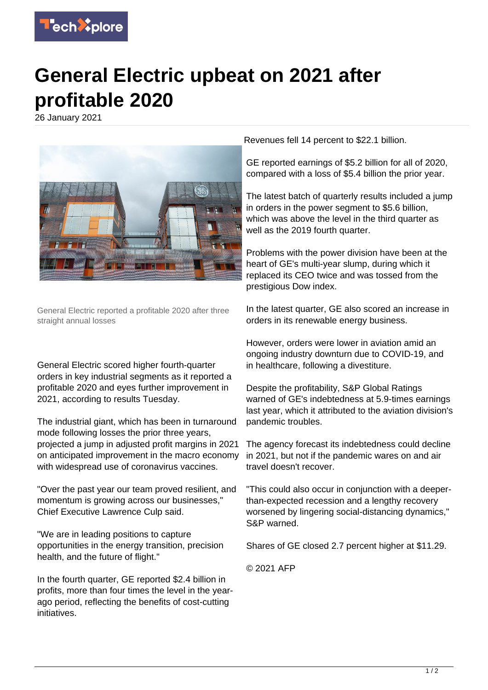

## **General Electric upbeat on 2021 after profitable 2020**

26 January 2021



General Electric reported a profitable 2020 after three straight annual losses

General Electric scored higher fourth-quarter orders in key industrial segments as it reported a profitable 2020 and eyes further improvement in 2021, according to results Tuesday.

The industrial giant, which has been in turnaround mode following losses the prior three years, projected a jump in adjusted profit margins in 2021 on anticipated improvement in the macro economy with widespread use of coronavirus vaccines.

"Over the past year our team proved resilient, and momentum is growing across our businesses," Chief Executive Lawrence Culp said.

"We are in leading positions to capture opportunities in the energy transition, precision health, and the future of flight."

In the fourth quarter, GE reported \$2.4 billion in profits, more than four times the level in the yearago period, reflecting the benefits of cost-cutting initiatives.

Revenues fell 14 percent to \$22.1 billion.

GE reported earnings of \$5.2 billion for all of 2020, compared with a loss of \$5.4 billion the prior year.

The latest batch of quarterly results included a jump in orders in the power segment to \$5.6 billion, which was above the level in the third quarter as well as the 2019 fourth quarter.

Problems with the power division have been at the heart of GE's multi-year slump, during which it replaced its CEO twice and was tossed from the prestigious Dow index.

In the latest quarter, GE also scored an increase in orders in its renewable energy business.

However, orders were lower in aviation amid an ongoing industry downturn due to COVID-19, and in healthcare, following a divestiture.

Despite the profitability, S&P Global Ratings warned of GE's indebtedness at 5.9-times earnings last year, which it attributed to the aviation division's pandemic troubles.

The agency forecast its indebtedness could decline in 2021, but not if the pandemic wares on and air travel doesn't recover.

"This could also occur in conjunction with a deeperthan-expected recession and a lengthy recovery worsened by lingering social-distancing dynamics," S&P warned.

Shares of GE closed 2.7 percent higher at \$11.29.

© 2021 AFP